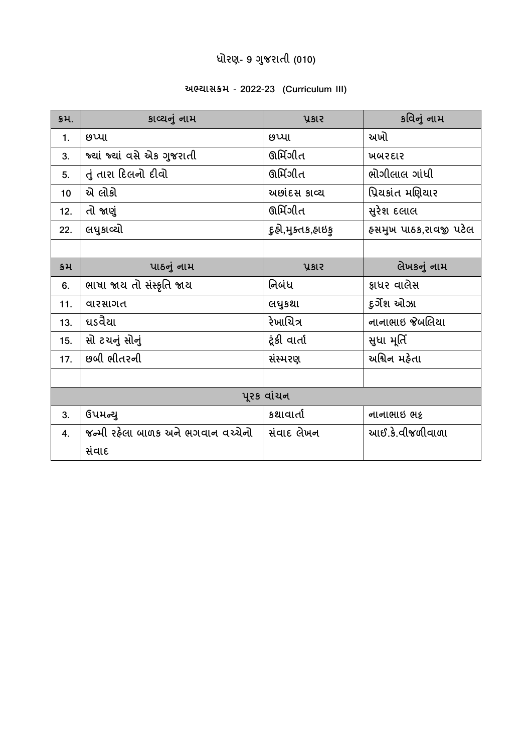# **ધોરણ- 9 ગજુ રાતી (010)**

#### **અભ્યાસક્રમ - 2022-23 (Curriculum III)**

| કમ.        | કાવ્યનું નામ                       | ysie                | કવિનું નામ            |  |
|------------|------------------------------------|---------------------|-----------------------|--|
| 1.         | છપ્પા                              | છપ્પા               | અખો                   |  |
| 3.         | જ્યાં જ્યાં વસે એક ગુજરાતી         | ઊર્મિગીત            | ખબરદાર                |  |
| 5.         | તું તારા દિલનો દીવો                | ઊર્મિગીત            | ભોગીલાલ ગાંધી         |  |
| 10         | એ લોકો                             | અછાંદસ કાવ્ય        | પ્રિયકાંત મણિયાર      |  |
| 12.        | તો જાણું                           | ઊર્મિગીત            | સુરેશ દલાલ            |  |
| 22.        | લધુકાવ્યો                          | દુઠો,મુક્તક,હ્રાઇકુ | હસમુખ પાઠક,રાવજી પટેલ |  |
|            |                                    |                     |                       |  |
| કમ         | પાઠનું નામ                         | ysie                | લેખકનું નામ           |  |
| 6.         | ભાષા જાય તો સંસ્કૃતિ જાય           | નિબંધ               | જ્ઞાધર વાલેસ          |  |
| 11.        | વારસાગત                            | લધુકશા              | દુર્ગેશ ઓઝા           |  |
| 13.        | ધડવૈયા                             | રેખાચિત્ર           | નાનાભાઇ જેબલિયા       |  |
| 15.        | સો ટચનું સોનું                     | ટૂંકી વાર્તા        | સુધા મૂર્તિ           |  |
| 17.        | છબી ભીતરની                         | સંસ્મરણ             | અશ્વિન મહેતા          |  |
|            |                                    |                     |                       |  |
| પૂરક વાંચન |                                    |                     |                       |  |
| 3.         | ઉપમન્યુ                            | કથાવાર્તા           | નાનાભાઇ ભદ્           |  |
| 4.         | જન્મી રહેલા બાળક અને ભગવાન વચ્ચેનો | સંવાદ લેખન          | આઈ.કે.વીજળીવાળા       |  |
|            | સંવાદ                              |                     |                       |  |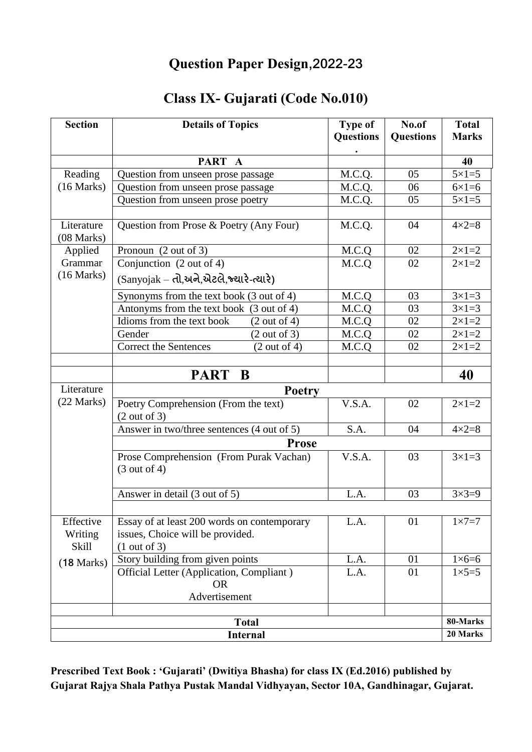#### **Question Paper Design,2022-23**

# **Class IX- Gujarati (Code No.010)**

| <b>Section</b>                       | <b>Details of Topics</b>                                                                        | <b>Type of</b>   | No.of            | <b>Total</b>         |  |
|--------------------------------------|-------------------------------------------------------------------------------------------------|------------------|------------------|----------------------|--|
|                                      |                                                                                                 | <b>Questions</b> | <b>Questions</b> | <b>Marks</b>         |  |
|                                      | PART A                                                                                          |                  |                  | 40                   |  |
| Reading                              | Question from unseen prose passage                                                              | M.C.Q.           | 05               | $5\times1=5$         |  |
| (16 Marks)                           | Question from unseen prose passage                                                              | M.C.Q.           | 06               | $6 \times 1 = 6$     |  |
|                                      | Question from unseen prose poetry                                                               | M.C.Q.           | 05               | $5 \times 1 = 5$     |  |
|                                      |                                                                                                 |                  |                  |                      |  |
| Literature                           | Question from Prose & Poetry (Any Four)                                                         | M.C.Q.           | 04               | $4 \times 2 = 8$     |  |
| (08 Marks)                           |                                                                                                 |                  |                  |                      |  |
| Applied                              | Pronoun (2 out of 3)                                                                            | M.C.Q            | 02               | $2 \times 1 = 2$     |  |
| Grammar                              | Conjunction (2 out of 4)                                                                        | M.C.Q            | 02               | $2 \times 1 = 2$     |  |
| (16 Marks)                           | (Sanyojak – તો,અને,એટલે,જ્યારે-ત્યારે)                                                          |                  |                  |                      |  |
|                                      | Synonyms from the text book (3 out of 4)                                                        | M.C.Q            | 03               | $3 \times 1 = 3$     |  |
|                                      | Antonyms from the text book (3 out of 4)                                                        | M.C.Q            | 03               | $3 \times 1 = 3$     |  |
|                                      | Idioms from the text book<br>(2 out of 4)                                                       | M.C.Q            | 02               | $2 \times 1 = 2$     |  |
|                                      | (2 out of 3)<br>Gender                                                                          | M.C.Q            | 02               | $2 \times 1 = 2$     |  |
|                                      | <b>Correct the Sentences</b><br>(2 out of 4)                                                    | M.C.Q            | 02               | $2 \times 1 = 2$     |  |
|                                      |                                                                                                 |                  |                  |                      |  |
|                                      | PART B                                                                                          |                  |                  | 40                   |  |
| Literature                           | <b>Poetry</b>                                                                                   |                  |                  |                      |  |
| (22 Marks)                           | Poetry Comprehension (From the text)<br>(2 out of 3)                                            | V.S.A.           | 02               | $2 \times 1 = 2$     |  |
|                                      | Answer in two/three sentences (4 out of 5)                                                      | S.A.             | 04               | $4 \times 2 = 8$     |  |
|                                      | <b>Prose</b>                                                                                    |                  |                  |                      |  |
|                                      | Prose Comprehension (From Purak Vachan)<br>(3 out of 4)                                         | V.S.A.           | 03               | $3 \times 1 = 3$     |  |
|                                      | Answer in detail (3 out of 5)                                                                   | L.A.             | 03               | $3 \times 3 = 9$     |  |
|                                      |                                                                                                 |                  |                  |                      |  |
| Effective<br>Writing<br><b>Skill</b> | Essay of at least 200 words on contemporary<br>issues, Choice will be provided.<br>(1 out of 3) | L.A.             | 01               | $1 \times 7 = 7$     |  |
| (18 Marks)                           | Story building from given points                                                                | L.A.             | 01               | $1\times 6=6$        |  |
|                                      | Official Letter (Application, Compliant)<br><b>OR</b>                                           | L.A.             | 01               | $1\times5=5$         |  |
|                                      | Advertisement                                                                                   |                  |                  |                      |  |
|                                      |                                                                                                 |                  |                  |                      |  |
| <b>Total</b>                         |                                                                                                 |                  |                  | 80-Marks<br>20 Marks |  |
| <b>Internal</b>                      |                                                                                                 |                  |                  |                      |  |

**Prescribed Text Book : 'Gujarati' (Dwitiya Bhasha) for class IX (Ed.2016) published by Gujarat Rajya Shala Pathya Pustak Mandal Vidhyayan, Sector 10A, Gandhinagar, Gujarat.**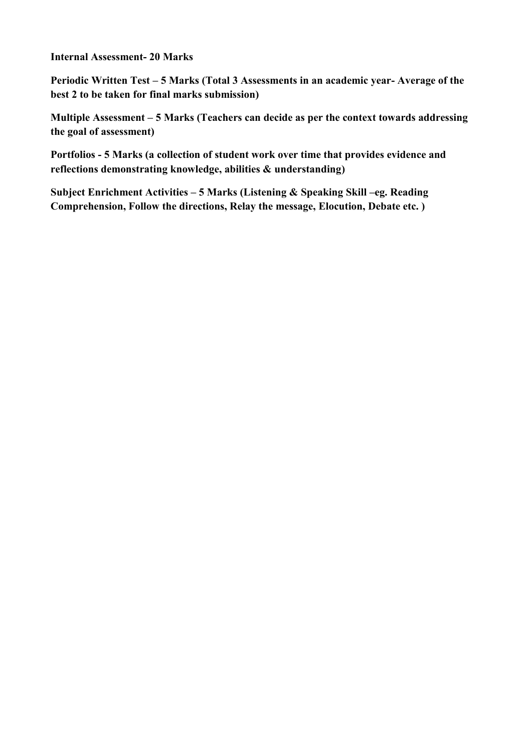**Internal Assessment- 20 Marks** 

**Periodic Written Test – 5 Marks (Total 3 Assessments in an academic year- Average of the best 2 to be taken for final marks submission)**

**Multiple Assessment – 5 Marks (Teachers can decide as per the context towards addressing the goal of assessment)**

**Portfolios - 5 Marks (a collection of student work over time that provides evidence and reflections demonstrating knowledge, abilities & understanding)**

**Subject Enrichment Activities – 5 Marks (Listening & Speaking Skill –eg. Reading Comprehension, Follow the directions, Relay the message, Elocution, Debate etc. )**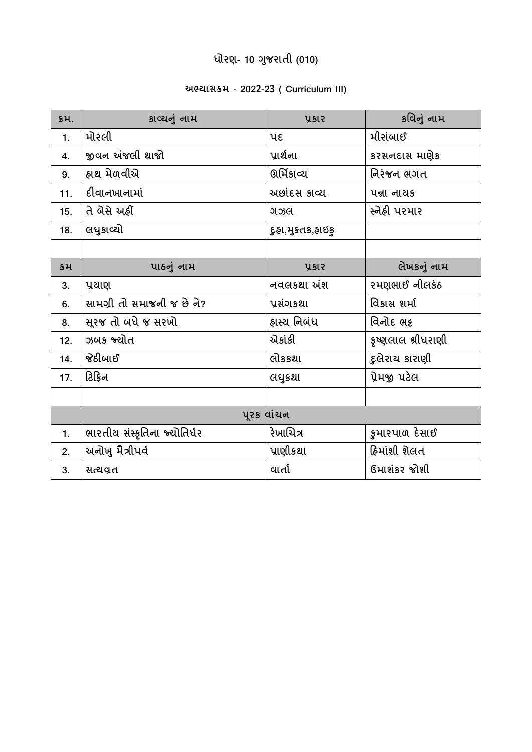# **ધોરણ- 10 ગજુ રાતી (010)**

## **અભ્યાસક્રમ - 2022-23 ( Curriculum III)**

| \$4.       | કાવ્યનું નામ                 | <b>ysis</b>       | કવિનું નામ         |  |  |
|------------|------------------------------|-------------------|--------------------|--|--|
| 1.         | મોરલી                        | પદ                | મીરાંબાઈ           |  |  |
| 4.         | જીવન અંજલી થાજો              | પ્રાર્થના         | કરસનદાસ માણેક      |  |  |
| 9.         | હ્રાથ મેળવીએ                 | ઊર્મિકાવ્ય        | નિરંજન ભગત         |  |  |
| 11.        | દીવાનખાનામાં                 | અછાંદસ કાવ્ય      | <b>ual नायs</b>    |  |  |
| 15.        | તે બેસે અહીં                 | ગઝલ               | સ્નેહી પરમાર       |  |  |
| 18.        | લધુકાવ્યો                    | દુઠા,મુક્તક,ઠાઇકુ |                    |  |  |
|            |                              |                   |                    |  |  |
| ક્રમ       | પાઠનું નામ                   | ysie              | લેખકનું નામ        |  |  |
| 3.         | પ્રયાણ                       | નવલકથા અંશ        | રમણભાઈ નીલકંઠ      |  |  |
| 6.         | સામગ્રી તો સમાજની જ છે ને?   | પ્રસંગકથા         | વિકાસ શર્મા        |  |  |
| 8.         | સુરજ તો બધે જ સરખો           | હ્રાસ્ય નિબંધ     | વિનોદ ભદ્          |  |  |
| 12.        | ઝબક જ્યોત                    | એકાંકી            | કૃષ્ણલાલ શ્રીધરાણી |  |  |
| 14.        | જેઠીબાઈ                      | લોકકથા            | દુલેરાય કારાણી     |  |  |
| 17.        | ટિફિન                        | લધુકશા            | પ્રેમજી પટેલ       |  |  |
|            |                              |                   |                    |  |  |
| પુરક વાંચન |                              |                   |                    |  |  |
| 1.         | ભારતીય સંસ્કૃતિના જ્ચોતિર્ધર | રેખાચિત્ર         | કુમારપાળ દેસાઈ     |  |  |
| 2.         | અનોખુ મૈત્રીપર્વ             | પ્રાણીકથા         | ફિમાંશી શેલત       |  |  |
| 3.         | સત્યવ્રત                     | વાર્તા            | ઉમાશંકર જોશી       |  |  |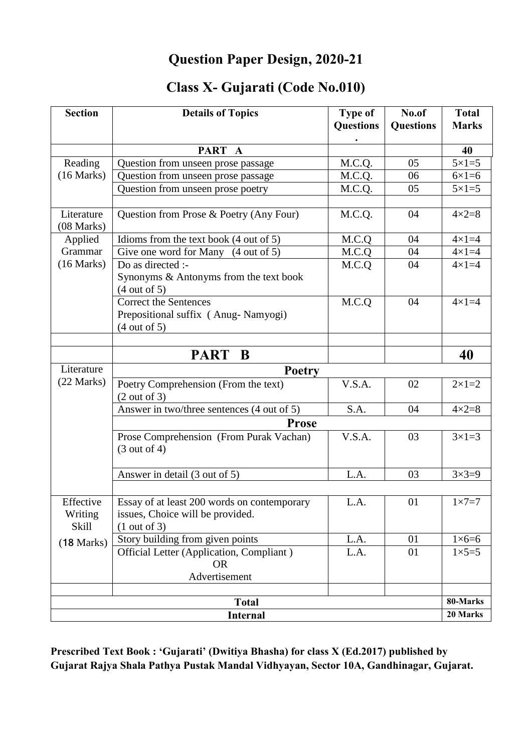## **Question Paper Design, 2020-21**

## **Class X- Gujarati (Code No.010)**

| <b>Section</b>           | <b>Details of Topics</b>                          | <b>Type of</b><br><b>Questions</b> | No.of<br><b>Questions</b> | <b>Total</b><br><b>Marks</b> |  |
|--------------------------|---------------------------------------------------|------------------------------------|---------------------------|------------------------------|--|
|                          |                                                   |                                    |                           |                              |  |
|                          | PART A                                            |                                    |                           | 40                           |  |
| Reading                  | Question from unseen prose passage                | M.C.Q.                             | 05                        | $5\times1=5$                 |  |
| (16 Marks)               | Question from unseen prose passage                | M.C.Q.                             | 06                        | $6\times1=6$                 |  |
|                          | Question from unseen prose poetry                 | M.C.Q.                             | 05                        | $5\times1=5$                 |  |
|                          |                                                   |                                    |                           |                              |  |
| Literature<br>(08 Marks) | Question from Prose & Poetry (Any Four)           | M.C.Q.                             | 04                        | $4 \times 2 = 8$             |  |
| Applied                  | Idioms from the text book $(4 \text{ out of } 5)$ | M.C.Q                              | 04                        | $4 \times 1 = 4$             |  |
| Grammar                  | Give one word for Many (4 out of 5)               | M.C.Q                              | 04                        | $4 \times 1 = 4$             |  |
| (16 Marks)               | Do as directed :-                                 | M.C.Q                              | 04                        | $4\times1=4$                 |  |
|                          | Synonyms & Antonyms from the text book            |                                    |                           |                              |  |
|                          | (4 out of 5)                                      |                                    |                           |                              |  |
|                          | <b>Correct the Sentences</b>                      | M.C.Q                              | 04                        | $4\times1=4$                 |  |
|                          | Prepositional suffix (Anug-Namyogi)               |                                    |                           |                              |  |
|                          | (4 out of 5)                                      |                                    |                           |                              |  |
|                          |                                                   |                                    |                           |                              |  |
|                          | PART B                                            |                                    |                           | 40                           |  |
| Literature               | <b>Poetry</b>                                     |                                    |                           |                              |  |
| (22 Marks)               | Poetry Comprehension (From the text)              | V.S.A.                             | 02                        | $2 \times 1 = 2$             |  |
|                          | (2 out of 3)                                      |                                    |                           |                              |  |
|                          | Answer in two/three sentences (4 out of 5)        | S.A.                               | 04                        | $4 \times 2 = 8$             |  |
|                          | <b>Prose</b>                                      |                                    |                           |                              |  |
|                          | Prose Comprehension (From Purak Vachan)           | V.S.A.                             | 03                        | $3\times1=3$                 |  |
|                          | (3 out of 4)                                      |                                    |                           |                              |  |
|                          |                                                   |                                    |                           |                              |  |
|                          | Answer in detail (3 out of 5)                     | L.A.                               | 03                        | $3 \times 3 = 9$             |  |
|                          |                                                   |                                    |                           |                              |  |
| Effective                | Essay of at least 200 words on contemporary       | L.A.                               | 01                        | $1 \times 7 = 7$             |  |
| Writing                  | issues, Choice will be provided.                  |                                    |                           |                              |  |
| Skill                    | (1 out of 3)                                      |                                    |                           |                              |  |
| (18 Marks)               | Story building from given points                  | L.A.                               | 01                        | $1\times 6=6$                |  |
|                          | Official Letter (Application, Compliant)          | L.A.                               | 01                        | $1\times5=5$                 |  |
|                          | <b>OR</b>                                         |                                    |                           |                              |  |
|                          | Advertisement                                     |                                    |                           |                              |  |
|                          |                                                   |                                    |                           | 80-Marks                     |  |
| <b>Total</b>             |                                                   |                                    |                           |                              |  |
| <b>Internal</b>          |                                                   |                                    |                           |                              |  |

**Prescribed Text Book : 'Gujarati' (Dwitiya Bhasha) for class X (Ed.2017) published by Gujarat Rajya Shala Pathya Pustak Mandal Vidhyayan, Sector 10A, Gandhinagar, Gujarat.**